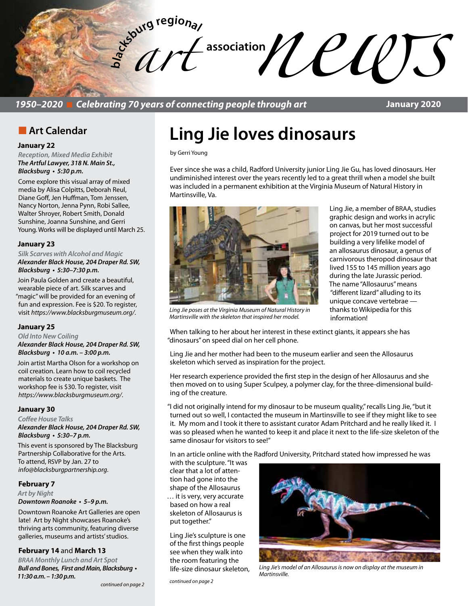

*1950–2020* n *Celebrating 70 years of connecting people through art*

**January 2020**

### **n** Art Calendar

### **January 22**

*Reception, Mixed Media Exhibit The Artful Lawyer, 318 N. Main St.,*  **Blacksburg • 5:30 p.m.** 

Come explore this visual array of mixed media by Alisa Colpitts, Deborah Reul, Diane Goff, Jen Huffman, Tom Jenssen, Nancy Norton, Jenna Pynn, Robi Sallee, Walter Shroyer, Robert Smith, Donald Sunshine, Joanna Sunshine, and Gerri Young. Works will be displayed until March 25.

#### **January 23**

*Silk Scarves with Alcohol and Magic* **Alexander Black House, 204 Draper Rd. SW, Blacksburg • 5:30–7:30 p.m.** 

Join Paula Golden and create a beautiful, wearable piece of art. Silk scarves and "magic" will be provided for an evening of fun and expression. Fee is \$20. To register, visit *https://www.blacksburgmuseum.org/*.

#### **January 25**

*Old Into New Coiling* **Alexander Black House, 204 Draper Rd. SW, Blacksburg • 10 a.m. – 3:00 p.m.** 

Join artist Martha Olson for a workshop on coil creation. Learn how to coil recycled materials to create unique baskets. The workshop fee is \$30. To register, visit *https://www.blacksburgmuseum.org/*.

#### **January 30**

*Coffee House Talks* **Alexander Black House, 204 Draper Rd. SW, Blacksburg • 5:30–7 p.m.** 

This event is sponsored by The Blacksburg Partnership Collaborative for the Arts. To attend, RSVP by Jan. 27 to *info@blacksburgpartnership.org*.

### **February 7**

### *Art by Night*

**Downtown Roanoke • 5–9 p.m.** 

Downtown Roanoke Art Galleries are open late! Art by Night showcases Roanoke's thriving arts community, featuring diverse galleries, museums and artists' studios.

### **February 14** and **March 13**

*BRAA Monthly Lunch and Art Spot* **Bull and Bones, First and Main, Blacksburg • 11:30 a.m. – 1:30 p.m.** 

*continued on page 2*

# **Ling Jie loves dinosaurs**

by Gerri Young

Ever since she was a child, Radford University junior Ling Jie Gu, has loved dinosaurs. Her undiminished interest over the years recently led to a great thrill when a model she built was included in a permanent exhibition at the Virginia Museum of Natural History in Martinsville, Va.



Ling Jie, a member of BRAA, studies graphic design and works in acrylic on canvas, but her most successful project for 2019 turned out to be building a very lifelike model of an allosaurus dinosaur, a genus of carnivorous theropod dinosaur that lived 155 to 145 million years ago during the late Jurassic period. The name "Allosaurus" means "different lizard" alluding to its unique concave vertebrae thanks to Wikipedia for this

Martinsville with the skeleton that inspired her model. **information!** *Ling Jie poses at the Virginia Museum of Natural History in* 

When talking to her about her interest in these extinct giants, it appears she has "dinosaurs" on speed dial on her cell phone.

Ling Jie and her mother had been to the museum earlier and seen the Allosaurus skeleton which served as inspiration for the project.

Her research experience provided the first step in the design of her Allosaurus and she then moved on to using Super Sculpey, a polymer clay, for the three-dimensional building of the creature.

"I did not originally intend for my dinosaur to be museum quality," recalls Ling Jie, "but it turned out so well, I contacted the museum in Martinsville to see if they might like to see it. My mom and I took it there to assistant curator Adam Pritchard and he really liked it. I was so pleased when he wanted to keep it and place it next to the life-size skeleton of the same dinosaur for visitors to see!"

In an article online with the Radford University, Pritchard stated how impressed he was

with the sculpture. "It was clear that a lot of attention had gone into the shape of the Allosaurus … it is very, very accurate based on how a real skeleton of Allosaurus is put together."

Ling Jie's sculpture is one of the first things people see when they walk into the room featuring the life-size dinosaur skeleton,

*continued on page 2*



*Ling Jie's model of an Allosaurus is now on display at the museum in Martinsville.*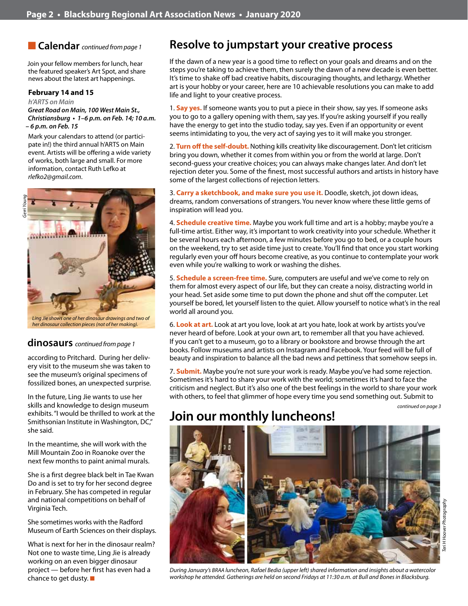**n Calendar** *continued from page 1* 

Join your fellow members for lunch, hear the featured speaker's Art Spot, and share news about the latest art happenings.

### **February 14 and 15**

#### *h'ARTS on Main*

**Great Road on Main, 100 West Main St., Christiansburg • 1–6 p.m. on Feb. 14; 10 a.m. – 6 p.m. on Feb. 15**

Mark your calendars to attend (or participate in!) the third annual h'ARTS on Main event. Artists will be offering a wide variety of works, both large and small. For more information, contact Ruth Lefko at *rlefko2@gmail.com*.



#### *Ling Jie shows one of her dinosaur drawings and two of her dinosaur collection pieces (not of her making).*

### **dinosaurs** *continued from page 1*

according to Pritchard. During her delivery visit to the museum she was taken to see the museum's original specimens of fossilized bones, an unexpected surprise.

In the future, Ling Jie wants to use her skills and knowledge to design museum exhibits. "I would be thrilled to work at the Smithsonian Institute in Washington, DC," she said.

In the meantime, she will work with the Mill Mountain Zoo in Roanoke over the next few months to paint animal murals.

She is a first degree black belt in Tae Kwan Do and is set to try for her second degree in February. She has competed in regular and national competitions on behalf of Virginia Tech.

She sometimes works with the Radford Museum of Earth Sciences on their displays.

What is next for her in the dinosaur realm? Not one to waste time, Ling Jie is already working on an even bigger dinosaur project — before her first has even had a chance to get dusty.  $\blacksquare$ 

# **Resolve to jumpstart your creative process**

If the dawn of a new year is a good time to reflect on your goals and dreams and on the steps you're taking to achieve them, then surely the dawn of a new decade is even better. It's time to shake off bad creative habits, discouraging thoughts, and lethargy. Whether art is your hobby or your career, here are 10 achievable resolutions you can make to add life and light to your creative process.

1. **Say yes.** If someone wants you to put a piece in their show, say yes. If someone asks you to go to a gallery opening with them, say yes. If you're asking yourself if you really have the energy to get into the studio today, say yes. Even if an opportunity or event seems intimidating to you, the very act of saying yes to it will make you stronger.

2. **Turn off the self-doubt.** Nothing kills creativity like discouragement. Don't let criticism bring you down, whether it comes from within you or from the world at large. Don't second-guess your creative choices; you can always make changes later. And don't let rejection deter you. Some of the finest, most successful authors and artists in history have some of the largest collections of rejection letters.

3. **Carry a sketchbook, and make sure you use it.** Doodle, sketch, jot down ideas, dreams, random conversations of strangers. You never know where these little gems of inspiration will lead you.

4. **Schedule creative time.** Maybe you work full time and art is a hobby; maybe you're a full-time artist. Either way, it's important to work creativity into your schedule. Whether it be several hours each afternoon, a few minutes before you go to bed, or a couple hours on the weekend, try to set aside time just to create. You'll find that once you start working regularly even your off hours become creative, as you continue to contemplate your work even while you're walking to work or washing the dishes.

5. **Schedule a screen-free time.** Sure, computers are useful and we've come to rely on them for almost every aspect of our life, but they can create a noisy, distracting world in your head. Set aside some time to put down the phone and shut off the computer. Let yourself be bored, let yourself listen to the quiet. Allow yourself to notice what's in the real world all around you.

6. **Look at art.** Look at art you love, look at art you hate, look at work by artists you've never heard of before. Look at your own art, to remember all that you have achieved. If you can't get to a museum, go to a library or bookstore and browse through the art books. Follow museums and artists on Instagram and Facebook. Your feed will be full of beauty and inspiration to balance all the bad news and pettiness that somehow seeps in.

7. **Submit.** Maybe you're not sure your work is ready. Maybe you've had some rejection. Sometimes it's hard to share your work with the world; sometimes it's hard to face the criticism and neglect. But it's also one of the best feelings in the world to share your work with others, to feel that glimmer of hope every time you send something out. Submit to

*continued on page 3*

# **Join our monthly luncheons!**



*During January's BRAA luncheon, Rafael Bedia (upper left) shared information and insights about a watercolor workshop he attended. Gatherings are held on second Fridays at 11:30 a.m. at Bull and Bones in Blacksburg.*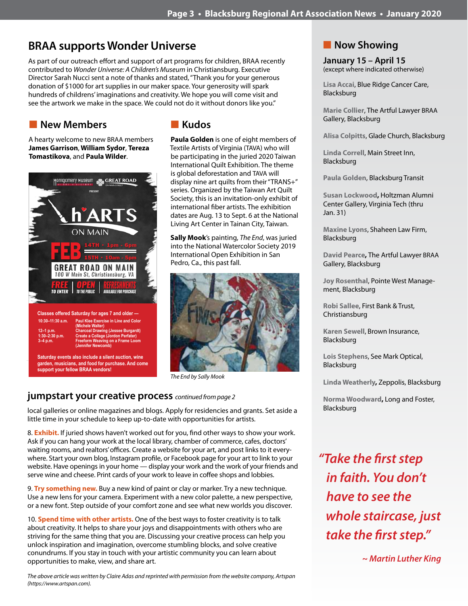# **BRAA supports Wonder Universe**

As part of our outreach effort and support of art programs for children, BRAA recently contributed to *Wonder Universe: A Children's Museum* in Christiansburg. Executive Director Sarah Nucci sent a note of thanks and stated, "Thank you for your generous donation of \$1000 for art supplies in our maker space. Your generosity will spark hundreds of childrens' imaginations and creativity. We hope you will come visit and see the artwork we make in the space. We could not do it without donors like you."

# **New Members**

A hearty welcome to new BRAA members **James Garrison**, **William Sydor**, **Tereza Tomastikova**, and **Paula Wilder**.



# n **Kudos**

**Paula Golden** is one of eight members of Textile Artists of Virginia (TAVA) who will be participating in the juried 2020 Taiwan International Quilt Exhibition. The theme is global deforestation and TAVA will display nine art quilts from their "TRANS+" series. Organized by the Taiwan Art Quilt Society, this is an invitation-only exhibit of international fiber artists. The exhibition dates are Aug. 13 to Sept. 6 at the National Living Art Center in Tainan City, Taiwan.

**Sally Mook**'s painting, *The End*, was juried into the National Watercolor Society 2019 International Open Exhibition in San Pedro, Ca., this past fall.



*The End by Sally Mook*

## **jumpstart your creative process** *continued from page 2*

local galleries or online magazines and blogs. Apply for residencies and grants. Set aside a little time in your schedule to keep up-to-date with opportunities for artists.

8. **Exhibit.** If juried shows haven't worked out for you, find other ways to show your work. Ask if you can hang your work at the local library, chamber of commerce, cafes, doctors' waiting rooms, and realtors' offices. Create a website for your art, and post links to it everywhere. Start your own blog, Instagram profile, or Facebook page for your art to link to your website. Have openings in your home — display your work and the work of your friends and serve wine and cheese. Print cards of your work to leave in coffee shops and lobbies.

9. **Try something new.** Buy a new kind of paint or clay or marker. Try a new technique. Use a new lens for your camera. Experiment with a new color palette, a new perspective, or a new font. Step outside of your comfort zone and see what new worlds you discover.

10. **Spend time with other artists.** One of the best ways to foster creativity is to talk about creativity. It helps to share your joys and disappointments with others who are striving for the same thing that you are. Discussing your creative process can help you unlock inspiration and imagination, overcome stumbling blocks, and solve creative conundrums. If you stay in touch with your artistic community you can learn about opportunities to make, view, and share art.

*The above article was written by Claire Adas and reprinted with permission from the website company, Artspan (https://www.artspan.com).*

# **Now Showing**

**January 15 – April 15** (except where indicated otherwise)

**Lisa Accai**, Blue Ridge Cancer Care, Blacksburg

**Marie Collier**, The Artful Lawyer BRAA Gallery, Blacksburg

**Alisa Colpitts**, Glade Church, Blacksburg

**Linda Correll**, Main Street Inn, Blacksburg

**Paula Golden**, Blacksburg Transit

**Susan Lockwood,** Holtzman Alumni Center Gallery, Virginia Tech (thru Jan. 31)

**Maxine Lyons**, Shaheen Law Firm, Blacksburg

**David Pearce,** The Artful Lawyer BRAA Gallery, Blacksburg

**Joy Rosenthal**, Pointe West Management, Blacksburg

**Robi Sallee**, First Bank & Trust, Christiansburg

**Karen Sewell**, Brown Insurance, Blacksburg

**Lois Stephens**, See Mark Optical, Blacksburg

**Linda Weatherly,** Zeppolis, Blacksburg

**Norma Woodward,** Long and Foster, Blacksburg

*"Take the first step in faith. You don't have to see the whole staircase, just take the first step."*

 *~ Martin Luther King*